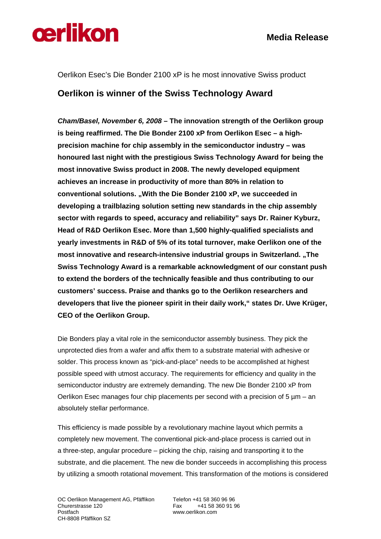

Oerlikon Esec's Die Bonder 2100 xP is he most innovative Swiss product

## **Oerlikon is winner of the Swiss Technology Award**

*Cham/Basel, November 6, 2008* **– The innovation strength of the Oerlikon group is being reaffirmed. The Die Bonder 2100 xP from Oerlikon Esec – a highprecision machine for chip assembly in the semiconductor industry – was honoured last night with the prestigious Swiss Technology Award for being the most innovative Swiss product in 2008. The newly developed equipment achieves an increase in productivity of more than 80% in relation to conventional solutions. "With the Die Bonder 2100 xP, we succeeded in developing a trailblazing solution setting new standards in the chip assembly sector with regards to speed, accuracy and reliability" says Dr. Rainer Kyburz, Head of R&D Oerlikon Esec. More than 1,500 highly-qualified specialists and yearly investments in R&D of 5% of its total turnover, make Oerlikon one of the most innovative and research-intensive industrial groups in Switzerland. "The Swiss Technology Award is a remarkable acknowledgment of our constant push to extend the borders of the technically feasible and thus contributing to our customers' success. Praise and thanks go to the Oerlikon researchers and developers that live the pioneer spirit in their daily work," states Dr. Uwe Krüger, CEO of the Oerlikon Group.** 

Die Bonders play a vital role in the semiconductor assembly business. They pick the unprotected dies from a wafer and affix them to a substrate material with adhesive or solder. This process known as "pick-and-place" needs to be accomplished at highest possible speed with utmost accuracy. The requirements for efficiency and quality in the semiconductor industry are extremely demanding. The new Die Bonder 2100 xP from Oerlikon Esec manages four chip placements per second with a precision of 5  $\mu$ m – an absolutely stellar performance.

This efficiency is made possible by a revolutionary machine layout which permits a completely new movement. The conventional pick-and-place process is carried out in a three-step, angular procedure – picking the chip, raising and transporting it to the substrate, and die placement. The new die bonder succeeds in accomplishing this process by utilizing a smooth rotational movement. This transformation of the motions is considered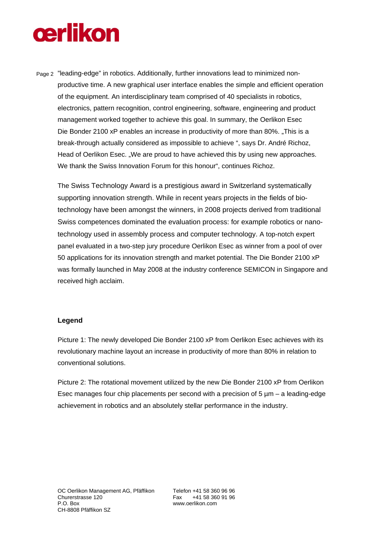## **cerlikon**

Page 2 "leading-edge" in robotics. Additionally, further innovations lead to minimized nonproductive time. A new graphical user interface enables the simple and efficient operation of the equipment. An interdisciplinary team comprised of 40 specialists in robotics, electronics, pattern recognition, control engineering, software, engineering and product management worked together to achieve this goal. In summary, the Oerlikon Esec Die Bonder 2100 xP enables an increase in productivity of more than 80%. "This is a break-through actually considered as impossible to achieve ", says Dr. André Richoz, Head of Oerlikon Esec. .We are proud to have achieved this by using new approaches. We thank the Swiss Innovation Forum for this honour", continues Richoz.

The Swiss Technology Award is a prestigious award in Switzerland systematically supporting innovation strength. While in recent years projects in the fields of biotechnology have been amongst the winners, in 2008 projects derived from traditional Swiss competences dominated the evaluation process: for example robotics or nanotechnology used in assembly process and computer technology. A top-notch expert panel evaluated in a two-step jury procedure Oerlikon Esec as winner from a pool of over 50 applications for its innovation strength and market potential. The Die Bonder 2100 xP was formally launched in May 2008 at the industry conference SEMICON in Singapore and received high acclaim.

## **Legend**

Picture 1: The newly developed Die Bonder 2100 xP from Oerlikon Esec achieves with its revolutionary machine layout an increase in productivity of more than 80% in relation to conventional solutions.

Picture 2: The rotational movement utilized by the new Die Bonder 2100 xP from Oerlikon Esec manages four chip placements per second with a precision of  $5 \mu m - a$  leading-edge achievement in robotics and an absolutely stellar performance in the industry.

www.oerlikon.com